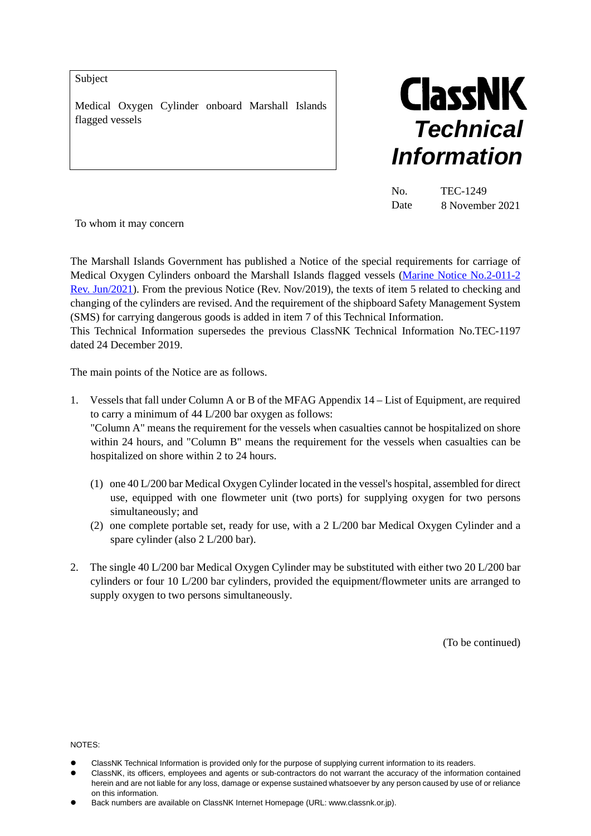Subject

Medical Oxygen Cylinder onboard Marshall Islands flagged vessels



| No.  | TEC-1249        |
|------|-----------------|
| Date | 8 November 2021 |

To whom it may concern

The Marshall Islands Government has published a Notice of the special requirements for carriage of Medical Oxygen Cylinders onboard the Marshall Islands flagged vessels [\(Marine Notice No.2-011-2](https://www.register-iri.com/wp-content/uploads/MN-2-011-2.pdf)  [Rev. Jun/2021\)](https://www.register-iri.com/wp-content/uploads/MN-2-011-2.pdf). From the previous Notice (Rev. Nov/2019), the texts of item 5 related to checking and changing of the cylinders are revised. And the requirement of the shipboard Safety Management System (SMS) for carrying dangerous goods is added in item 7 of this Technical Information.

This Technical Information supersedes the previous ClassNK Technical Information No.TEC-1197 dated 24 December 2019.

The main points of the Notice are as follows.

- 1. Vessels that fall under Column A or B of the MFAG Appendix 14 List of Equipment, are required to carry a minimum of 44 L/200 bar oxygen as follows: "Column A" means the requirement for the vessels when casualties cannot be hospitalized on shore within 24 hours, and "Column B" means the requirement for the vessels when casualties can be hospitalized on shore within 2 to 24 hours.
	- (1) one 40 L/200 bar Medical Oxygen Cylinder located in the vessel's hospital, assembled for direct use, equipped with one flowmeter unit (two ports) for supplying oxygen for two persons simultaneously; and
	- (2) one complete portable set, ready for use, with a 2 L/200 bar Medical Oxygen Cylinder and a spare cylinder (also 2 L/200 bar).
- 2. The single 40 L/200 bar Medical Oxygen Cylinder may be substituted with either two 20 L/200 bar cylinders or four 10 L/200 bar cylinders, provided the equipment/flowmeter units are arranged to supply oxygen to two persons simultaneously.

(To be continued)

NOTES:

- ClassNK Technical Information is provided only for the purpose of supplying current information to its readers.
- ClassNK, its officers, employees and agents or sub-contractors do not warrant the accuracy of the information contained herein and are not liable for any loss, damage or expense sustained whatsoever by any person caused by use of or reliance on this information.
- Back numbers are available on ClassNK Internet Homepage (URL: www.classnk.or.jp).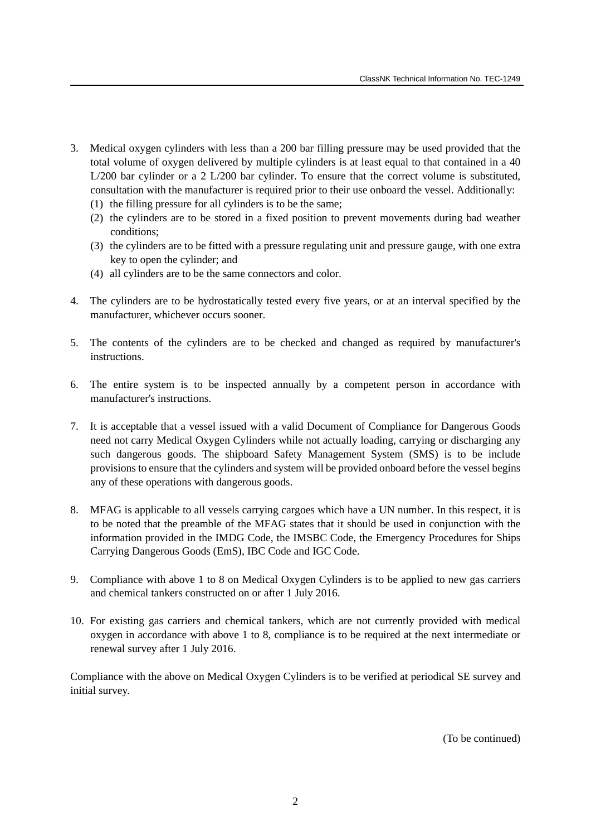- 3. Medical oxygen cylinders with less than a 200 bar filling pressure may be used provided that the total volume of oxygen delivered by multiple cylinders is at least equal to that contained in a 40 L/200 bar cylinder or a 2 L/200 bar cylinder. To ensure that the correct volume is substituted, consultation with the manufacturer is required prior to their use onboard the vessel. Additionally:
	- (1) the filling pressure for all cylinders is to be the same;
	- (2) the cylinders are to be stored in a fixed position to prevent movements during bad weather conditions;
	- (3) the cylinders are to be fitted with a pressure regulating unit and pressure gauge, with one extra key to open the cylinder; and
	- (4) all cylinders are to be the same connectors and color.
- 4. The cylinders are to be hydrostatically tested every five years, or at an interval specified by the manufacturer, whichever occurs sooner.
- 5. The contents of the cylinders are to be checked and changed as required by manufacturer's instructions.
- 6. The entire system is to be inspected annually by a competent person in accordance with manufacturer's instructions.
- 7. It is acceptable that a vessel issued with a valid Document of Compliance for Dangerous Goods need not carry Medical Oxygen Cylinders while not actually loading, carrying or discharging any such dangerous goods. The shipboard Safety Management System (SMS) is to be include provisions to ensure that the cylinders and system will be provided onboard before the vessel begins any of these operations with dangerous goods.
- 8. MFAG is applicable to all vessels carrying cargoes which have a UN number. In this respect, it is to be noted that the preamble of the MFAG states that it should be used in conjunction with the information provided in the IMDG Code, the IMSBC Code, the Emergency Procedures for Ships Carrying Dangerous Goods (EmS), IBC Code and IGC Code.
- 9. Compliance with above 1 to 8 on Medical Oxygen Cylinders is to be applied to new gas carriers and chemical tankers constructed on or after 1 July 2016.
- 10. For existing gas carriers and chemical tankers, which are not currently provided with medical oxygen in accordance with above 1 to 8, compliance is to be required at the next intermediate or renewal survey after 1 July 2016.

Compliance with the above on Medical Oxygen Cylinders is to be verified at periodical SE survey and initial survey.

(To be continued)